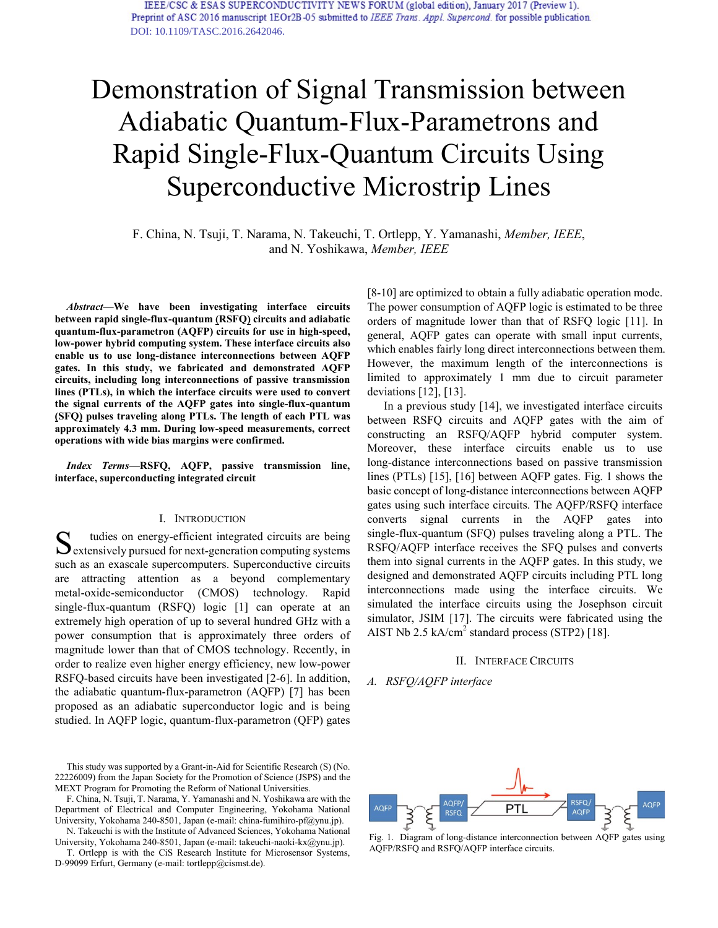# Demonstration of Signal Transmission between Adiabatic Quantum-Flux-Parametrons and Rapid Single-Flux-Quantum Circuits Using Superconductive Microstrip Lines

F. China, N. Tsuji, T. Narama, N. Takeuchi, T. Ortlepp, Y. Yamanashi, *Member, IEEE*, and N. Yoshikawa, *Member, IEEE*

*Abstract***—We have been investigating interface circuits between rapid single-flux-quantum (RSFQ) circuits and adiabatic quantum-flux-parametron (AQFP) circuits for use in high-speed, low-power hybrid computing system. These interface circuits also enable us to use long-distance interconnections between AQFP gates. In this study, we fabricated and demonstrated AQFP circuits, including long interconnections of passive transmission lines (PTLs), in which the interface circuits were used to convert the signal currents of the AQFP gates into single-flux-quantum (SFQ) pulses traveling along PTLs. The length of each PTL was approximately 4.3 mm. During low-speed measurements, correct operations with wide bias margins were confirmed.** 

*Index Terms***—RSFQ, AQFP, passive transmission line, interface, superconducting integrated circuit** 

## I. INTRODUCTION

tudies on energy-efficient integrated circuits are being  $S_{\text{extensively pursued for next-generation computing systems}}$ such as an exascale supercomputers. Superconductive circuits are attracting attention as a beyond complementary metal-oxide-semiconductor (CMOS) technology. Rapid single-flux-quantum (RSFQ) logic [1] can operate at an extremely high operation of up to several hundred GHz with a power consumption that is approximately three orders of magnitude lower than that of CMOS technology. Recently, in order to realize even higher energy efficiency, new low-power RSFQ-based circuits have been investigated [2-6]. In addition, the adiabatic quantum-flux-parametron (AQFP) [7] has been proposed as an adiabatic superconductor logic and is being studied. In AQFP logic, quantum-flux-parametron (QFP) gates

This study was supported by a Grant-in-Aid for Scientific Research (S) (No. 22226009) from the Japan Society for the Promotion of Science (JSPS) and the MEXT Program for Promoting the Reform of National Universities.

F. China, N. Tsuji, T. Narama, Y. Yamanashi and N. Yoshikawa are with the Department of Electrical and Computer Engineering, Yokohama National University, Yokohama 240-8501, Japan (e-mail: china-fumihiro-pf@ynu.jp).

N. Takeuchi is with the Institute of Advanced Sciences, Yokohama National University, Yokohama 240-8501, Japan (e-mail: takeuchi-naoki-kx@ynu.jp).

T. Ortlepp is with the CiS Research Institute for Microsensor Systems, D-99099 Erfurt, Germany (e-mail: tortlepp@cismst.de).

[8-10] are optimized to obtain a fully adiabatic operation mode. The power consumption of AQFP logic is estimated to be three orders of magnitude lower than that of RSFQ logic [11]. In general, AQFP gates can operate with small input currents, which enables fairly long direct interconnections between them. However, the maximum length of the interconnections is limited to approximately 1 mm due to circuit parameter deviations [12], [13].

In a previous study [14], we investigated interface circuits between RSFQ circuits and AQFP gates with the aim of constructing an RSFQ/AQFP hybrid computer system. Moreover, these interface circuits enable us to use long-distance interconnections based on passive transmission lines (PTLs) [15], [16] between AQFP gates. Fig. 1 shows the basic concept of long-distance interconnections between AQFP gates using such interface circuits. The AQFP/RSFQ interface converts signal currents in the AQFP gates into single-flux-quantum (SFQ) pulses traveling along a PTL. The RSFQ/AQFP interface receives the SFQ pulses and converts them into signal currents in the AQFP gates. In this study, we designed and demonstrated AQFP circuits including PTL long interconnections made using the interface circuits. We simulated the interface circuits using the Josephson circuit simulator, JSIM [17]. The circuits were fabricated using the AIST Nb 2.5 kA/ $cm<sup>2</sup>$  standard process (STP2) [18].

#### II. INTERFACE CIRCUITS

### *A. RSFQ/AQFP interface*



Fig. 1. Diagram of long-distance interconnection between AQFP gates using AQFP/RSFQ and RSFQ/AQFP interface circuits.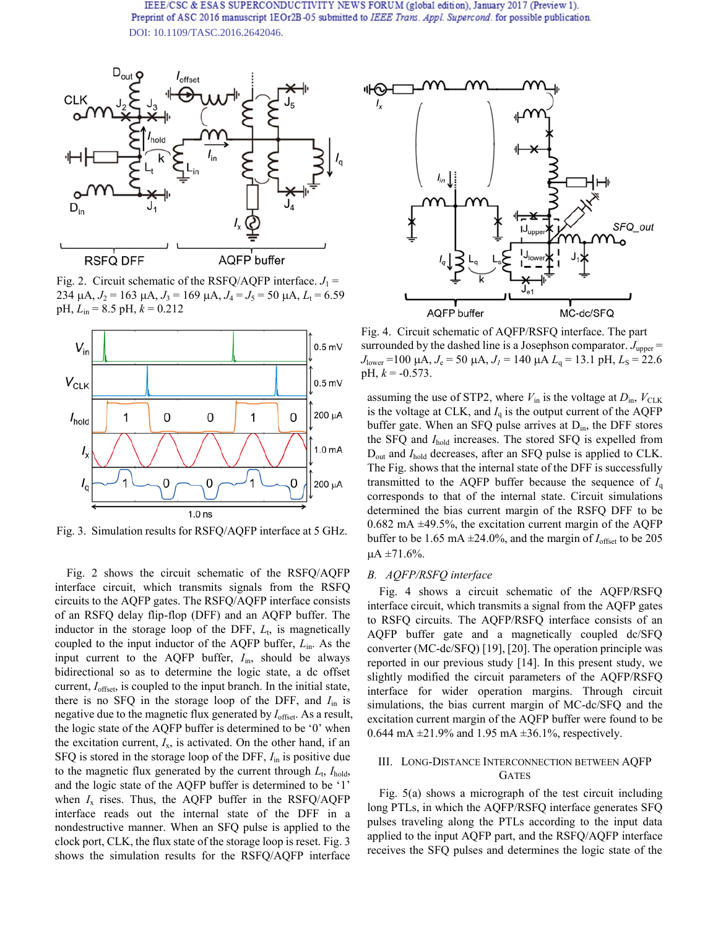

Fig. 2. Circuit schematic of the RSFQ/AQFP interface.  $J_1$  =  $234 \mu$ A,  $J_2 = 163 \mu$ A,  $J_3 = 169 \mu$ A,  $J_4 = J_5 = 50 \mu$ A,  $L_t = 6.59$ pH,  $L_{\text{in}}$  = 8.5 pH,  $k$  = 0.212



Fig. 3. Simulation results for RSFQ/AQFP interface at 5 GHz.

Fig. 2 shows the circuit schematic of the RSFQ/AQFP interface circuit, which transmits signals from the RSFQ circuits to the AQFP gates. The RSFQ/AQFP interface consists of an RSFQ delay flip-flop (DFF) and an AQFP buffer. The inductor in the storage loop of the DFF,  $L_t$ , is magnetically coupled to the input inductor of the AQFP buffer, *L*in. As the input current to the AQFP buffer, *I*in, should be always bidirectional so as to determine the logic state, a dc offset current, *I*offset, is coupled to the input branch. In the initial state, there is no SFQ in the storage loop of the DFF, and *I*in is negative due to the magnetic flux generated by *I*offset. As a result, the logic state of the AQFP buffer is determined to be '0' when the excitation current,  $I_x$ , is activated. On the other hand, if an SFQ is stored in the storage loop of the DFF, *I*in is positive due to the magnetic flux generated by the current through  $L_t$ ,  $I_{hold}$ , and the logic state of the AQFP buffer is determined to be '1' when  $I_x$  rises. Thus, the AQFP buffer in the RSFQ/AQFP interface reads out the internal state of the DFF in a nondestructive manner. When an SFQ pulse is applied to the clock port, CLK, the flux state of the storage loop is reset. Fig. 3 shows the simulation results for the RSFQ/AQFP interface



Fig. 4. Circuit schematic of AQFP/RSFQ interface. The part surrounded by the dashed line is a Josephson comparator.  $J_{\text{upper}} =$  $J_{\text{lower}} = 100 \mu\text{A}$ ,  $J_e = 50 \mu\text{A}$ ,  $J_l = 140 \mu\text{A}$   $L_q = 13.1 \text{ pH}$ ,  $L_s = 22.6 \mu\text{A}$ pH,  $k = -0.573$ .

assuming the use of STP2, where  $V_{\text{in}}$  is the voltage at  $D_{\text{in}}$ ,  $V_{\text{CLK}}$ is the voltage at CLK, and  $I_q$  is the output current of the AQFP buffer gate. When an SFQ pulse arrives at  $D_{in}$ , the DFF stores the SFQ and *I*hold increases. The stored SFQ is expelled from D<sub>out</sub> and *I*<sub>hold</sub> decreases, after an SFQ pulse is applied to CLK. The Fig. shows that the internal state of the DFF is successfully transmitted to the AQFP buffer because the sequence of  $I_q$ corresponds to that of the internal state. Circuit simulations determined the bias current margin of the RSFQ DFF to be  $0.682 \text{ mA } \pm 49.5\%$ , the excitation current margin of the AQFP buffer to be 1.65 mA  $\pm$ 24.0%, and the margin of  $I_{\text{offset}}$  to be 205  $\mu A = 71.6\%$ .

#### *B. AQFP/RSFQ interface*

Fig. 4 shows a circuit schematic of the AQFP/RSFQ interface circuit, which transmits a signal from the AQFP gates to RSFQ circuits. The AQFP/RSFQ interface consists of an AQFP buffer gate and a magnetically coupled dc/SFQ converter (MC-dc/SFQ) [19], [20]. The operation principle was reported in our previous study [14]. In this present study, we slightly modified the circuit parameters of the AQFP/RSFQ interface for wider operation margins. Through circuit simulations, the bias current margin of MC-dc/SFQ and the excitation current margin of the AQFP buffer were found to be 0.644 mA  $\pm$ 21.9% and 1.95 mA  $\pm$ 36.1%, respectively.

# III. LONG-DISTANCE INTERCONNECTION BETWEEN AQFP GATES

Fig. 5(a) shows a micrograph of the test circuit including long PTLs, in which the AQFP/RSFQ interface generates SFQ pulses traveling along the PTLs according to the input data applied to the input AQFP part, and the RSFQ/AQFP interface receives the SFQ pulses and determines the logic state of the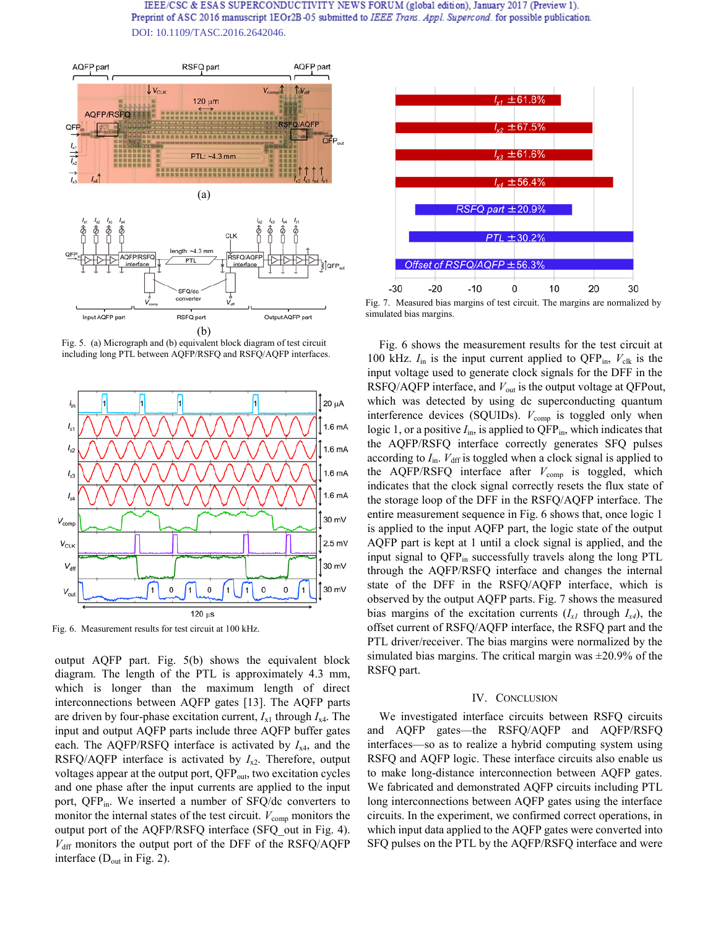

Fig. 5. (a) Micrograph and (b) equivalent block diagram of test circuit including long PTL between AQFP/RSFQ and RSFQ/AQFP interfaces.



Fig. 6. Measurement results for test circuit at 100 kHz.

output AQFP part. Fig. 5(b) shows the equivalent block diagram. The length of the PTL is approximately 4.3 mm, which is longer than the maximum length of direct interconnections between AQFP gates [13]. The AQFP parts are driven by four-phase excitation current,  $I_{x1}$  through  $I_{x4}$ . The input and output AQFP parts include three AQFP buffer gates each. The AQFP/RSFQ interface is activated by *I*x4, and the RSFQ/AQFP interface is activated by  $I_{x2}$ . Therefore, output voltages appear at the output port, QFP<sub>out</sub>, two excitation cycles and one phase after the input currents are applied to the input port, QFP<sub>in</sub>. We inserted a number of SFQ/dc converters to monitor the internal states of the test circuit.  $V_{\text{comp}}$  monitors the output port of the AQFP/RSFQ interface (SFQ\_out in Fig. 4).  $V_{\text{diff}}$  monitors the output port of the DFF of the RSFQ/AQFP interface  $(D_{out}$  in Fig. 2).



Fig. 7. Measured bias margins of test circuit. The margins are normalized by simulated bias margins.

Fig. 6 shows the measurement results for the test circuit at 100 kHz.  $I_{\text{in}}$  is the input current applied to QFP<sub>in</sub>,  $V_{\text{clk}}$  is the input voltage used to generate clock signals for the DFF in the RSFQ/AQFP interface, and  $V_{\text{out}}$  is the output voltage at QFPout, which was detected by using dc superconducting quantum interference devices (SQUIDs).  $V_{\text{comp}}$  is toggled only when logic 1, or a positive  $I_{\text{in}}$ , is applied to  $QFP_{\text{in}}$ , which indicates that the AQFP/RSFQ interface correctly generates SFQ pulses according to  $I_{\text{in}}$ .  $V_{\text{diff}}$  is toggled when a clock signal is applied to the AQFP/RSFQ interface after  $V_{\text{comm}}$  is toggled, which indicates that the clock signal correctly resets the flux state of the storage loop of the DFF in the RSFQ/AQFP interface. The entire measurement sequence in Fig. 6 shows that, once logic 1 is applied to the input AQFP part, the logic state of the output AQFP part is kept at 1 until a clock signal is applied, and the input signal to  $QFP_{in}$  successfully travels along the long PTL through the AQFP/RSFQ interface and changes the internal state of the DFF in the RSFQ/AQFP interface, which is observed by the output AQFP parts. Fig. 7 shows the measured bias margins of the excitation currents  $(I_{x1}$  through  $I_{x4}$ ), the offset current of RSFQ/AQFP interface, the RSFQ part and the PTL driver/receiver. The bias margins were normalized by the simulated bias margins. The critical margin was  $\pm 20.9\%$  of the RSFQ part.

#### IV. CONCLUSION

We investigated interface circuits between RSFQ circuits and AQFP gates—the RSFQ/AQFP and AQFP/RSFQ interfaces—so as to realize a hybrid computing system using RSFQ and AQFP logic. These interface circuits also enable us to make long-distance interconnection between AQFP gates. We fabricated and demonstrated AQFP circuits including PTL long interconnections between AQFP gates using the interface circuits. In the experiment, we confirmed correct operations, in which input data applied to the AQFP gates were converted into SFQ pulses on the PTL by the AQFP/RSFQ interface and were